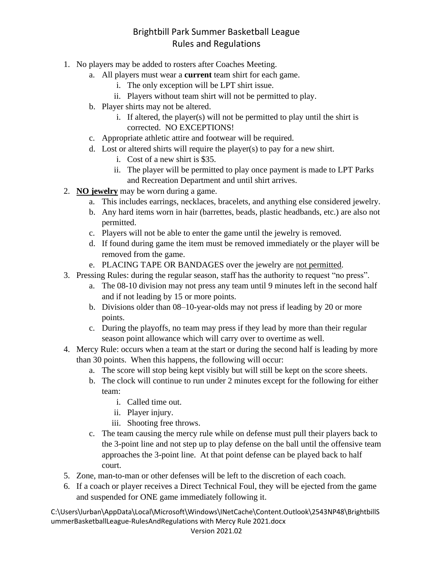- 1. No players may be added to rosters after Coaches Meeting.
	- a. All players must wear a **current** team shirt for each game.
		- i. The only exception will be LPT shirt issue.
		- ii. Players without team shirt will not be permitted to play.
	- b. Player shirts may not be altered.
		- i. If altered, the player(s) will not be permitted to play until the shirt is corrected. NO EXCEPTIONS!
	- c. Appropriate athletic attire and footwear will be required.
	- d. Lost or altered shirts will require the player(s) to pay for a new shirt.
		- i. Cost of a new shirt is \$35.
		- ii. The player will be permitted to play once payment is made to LPT Parks and Recreation Department and until shirt arrives.
- 2. **NO jewelry** may be worn during a game.
	- a. This includes earrings, necklaces, bracelets, and anything else considered jewelry.
	- b. Any hard items worn in hair (barrettes, beads, plastic headbands, etc.) are also not permitted.
	- c. Players will not be able to enter the game until the jewelry is removed.
	- d. If found during game the item must be removed immediately or the player will be removed from the game.
	- e. PLACING TAPE OR BANDAGES over the jewelry are not permitted.
- 3. Pressing Rules: during the regular season, staff has the authority to request "no press".
	- a. The 08-10 division may not press any team until 9 minutes left in the second half and if not leading by 15 or more points.
	- b. Divisions older than 08–10-year-olds may not press if leading by 20 or more points.
	- c. During the playoffs, no team may press if they lead by more than their regular season point allowance which will carry over to overtime as well.
- 4. Mercy Rule: occurs when a team at the start or during the second half is leading by more than 30 points. When this happens, the following will occur:
	- a. The score will stop being kept visibly but will still be kept on the score sheets.
	- b. The clock will continue to run under 2 minutes except for the following for either team:
		- i. Called time out.
		- ii. Player injury.
		- iii. Shooting free throws.
	- c. The team causing the mercy rule while on defense must pull their players back to the 3-point line and not step up to play defense on the ball until the offensive team approaches the 3-point line. At that point defense can be played back to half court.
- 5. Zone, man-to-man or other defenses will be left to the discretion of each coach.
- 6. If a coach or player receives a Direct Technical Foul, they will be ejected from the game and suspended for ONE game immediately following it.

C:\Users\lurban\AppData\Local\Microsoft\Windows\INetCache\Content.Outlook\2543NP48\BrightbillS ummerBasketballLeague-RulesAndRegulations with Mercy Rule 2021.docx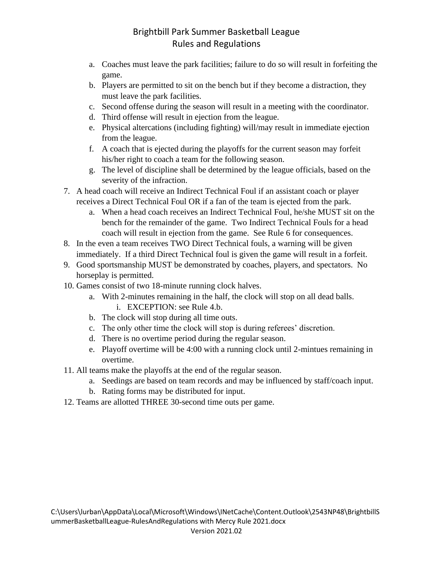- a. Coaches must leave the park facilities; failure to do so will result in forfeiting the game.
- b. Players are permitted to sit on the bench but if they become a distraction, they must leave the park facilities.
- c. Second offense during the season will result in a meeting with the coordinator.
- d. Third offense will result in ejection from the league.
- e. Physical altercations (including fighting) will/may result in immediate ejection from the league.
- f. A coach that is ejected during the playoffs for the current season may forfeit his/her right to coach a team for the following season.
- g. The level of discipline shall be determined by the league officials, based on the severity of the infraction.
- 7. A head coach will receive an Indirect Technical Foul if an assistant coach or player receives a Direct Technical Foul OR if a fan of the team is ejected from the park.
	- a. When a head coach receives an Indirect Technical Foul, he/she MUST sit on the bench for the remainder of the game. Two Indirect Technical Fouls for a head coach will result in ejection from the game. See Rule 6 for consequences.
- 8. In the even a team receives TWO Direct Technical fouls, a warning will be given immediately. If a third Direct Technical foul is given the game will result in a forfeit.
- 9. Good sportsmanship MUST be demonstrated by coaches, players, and spectators. No horseplay is permitted.
- 10. Games consist of two 18-minute running clock halves.
	- a. With 2-minutes remaining in the half, the clock will stop on all dead balls. i. EXCEPTION: see Rule 4.b.
	- b. The clock will stop during all time outs.
	- c. The only other time the clock will stop is during referees' discretion.
	- d. There is no overtime period during the regular season.
	- e. Playoff overtime will be 4:00 with a running clock until 2-mintues remaining in overtime.
- 11. All teams make the playoffs at the end of the regular season.
	- a. Seedings are based on team records and may be influenced by staff/coach input.
	- b. Rating forms may be distributed for input.
- 12. Teams are allotted THREE 30-second time outs per game.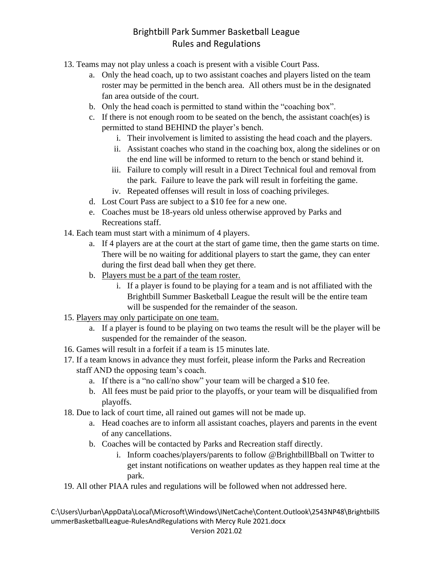- 13. Teams may not play unless a coach is present with a visible Court Pass.
	- a. Only the head coach, up to two assistant coaches and players listed on the team roster may be permitted in the bench area. All others must be in the designated fan area outside of the court.
	- b. Only the head coach is permitted to stand within the "coaching box".
	- c. If there is not enough room to be seated on the bench, the assistant coach(es) is permitted to stand BEHIND the player's bench.
		- i. Their involvement is limited to assisting the head coach and the players.
		- ii. Assistant coaches who stand in the coaching box, along the sidelines or on the end line will be informed to return to the bench or stand behind it.
		- iii. Failure to comply will result in a Direct Technical foul and removal from the park. Failure to leave the park will result in forfeiting the game.
		- iv. Repeated offenses will result in loss of coaching privileges.
	- d. Lost Court Pass are subject to a \$10 fee for a new one.
	- e. Coaches must be 18-years old unless otherwise approved by Parks and Recreations staff.
- 14. Each team must start with a minimum of 4 players.
	- a. If 4 players are at the court at the start of game time, then the game starts on time. There will be no waiting for additional players to start the game, they can enter during the first dead ball when they get there.
	- b. Players must be a part of the team roster.
		- i. If a player is found to be playing for a team and is not affiliated with the Brightbill Summer Basketball League the result will be the entire team will be suspended for the remainder of the season.
- 15. Players may only participate on one team.
	- a. If a player is found to be playing on two teams the result will be the player will be suspended for the remainder of the season.
- 16. Games will result in a forfeit if a team is 15 minutes late.
- 17. If a team knows in advance they must forfeit, please inform the Parks and Recreation staff AND the opposing team's coach.
	- a. If there is a "no call/no show" your team will be charged a \$10 fee.
	- b. All fees must be paid prior to the playoffs, or your team will be disqualified from playoffs.
- 18. Due to lack of court time, all rained out games will not be made up.
	- a. Head coaches are to inform all assistant coaches, players and parents in the event of any cancellations.
	- b. Coaches will be contacted by Parks and Recreation staff directly.
		- i. Inform coaches/players/parents to follow @BrightbillBball on Twitter to get instant notifications on weather updates as they happen real time at the park.
- 19. All other PIAA rules and regulations will be followed when not addressed here.

C:\Users\lurban\AppData\Local\Microsoft\Windows\INetCache\Content.Outlook\2543NP48\BrightbillS ummerBasketballLeague-RulesAndRegulations with Mercy Rule 2021.docx